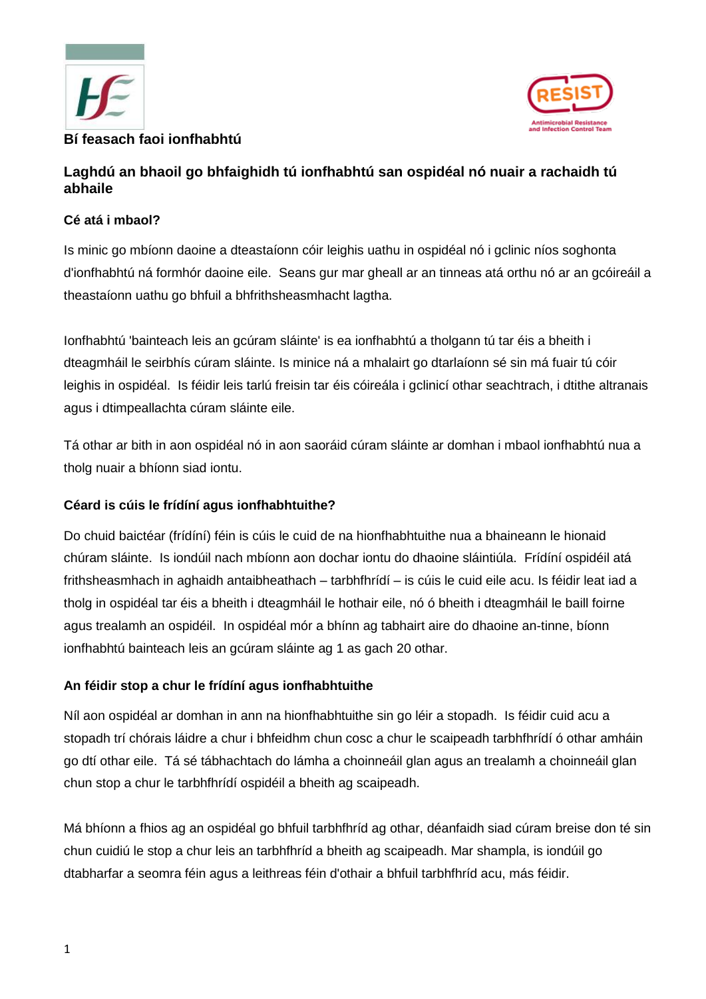



# **Laghdú an bhaoil go bhfaighidh tú ionfhabhtú san ospidéal nó nuair a rachaidh tú abhaile**

## **Cé atá i mbaol?**

Is minic go mbíonn daoine a dteastaíonn cóir leighis uathu in ospidéal nó i gclinic níos soghonta d'ionfhabhtú ná formhór daoine eile. Seans gur mar gheall ar an tinneas atá orthu nó ar an gcóireáil a theastaíonn uathu go bhfuil a bhfrithsheasmhacht lagtha.

Ionfhabhtú 'bainteach leis an gcúram sláinte' is ea ionfhabhtú a tholgann tú tar éis a bheith i dteagmháil le seirbhís cúram sláinte. Is minice ná a mhalairt go dtarlaíonn sé sin má fuair tú cóir leighis in ospidéal. Is féidir leis tarlú freisin tar éis cóireála i gclinicí othar seachtrach, i dtithe altranais agus i dtimpeallachta cúram sláinte eile.

Tá othar ar bith in aon ospidéal nó in aon saoráid cúram sláinte ar domhan i mbaol ionfhabhtú nua a tholg nuair a bhíonn siad iontu.

### **Céard is cúis le frídíní agus ionfhabhtuithe?**

Do chuid baictéar (frídíní) féin is cúis le cuid de na hionfhabhtuithe nua a bhaineann le hionaid chúram sláinte. Is iondúil nach mbíonn aon dochar iontu do dhaoine sláintiúla. Frídíní ospidéil atá frithsheasmhach in aghaidh antaibheathach – tarbhfhrídí – is cúis le cuid eile acu. Is féidir leat iad a tholg in ospidéal tar éis a bheith i dteagmháil le hothair eile, nó ó bheith i dteagmháil le baill foirne agus trealamh an ospidéil. In ospidéal mór a bhínn ag tabhairt aire do dhaoine an-tinne, bíonn ionfhabhtú bainteach leis an gcúram sláinte ag 1 as gach 20 othar.

#### **An féidir stop a chur le frídíní agus ionfhabhtuithe**

Níl aon ospidéal ar domhan in ann na hionfhabhtuithe sin go léir a stopadh. Is féidir cuid acu a stopadh trí chórais láidre a chur i bhfeidhm chun cosc a chur le scaipeadh tarbhfhrídí ó othar amháin go dtí othar eile. Tá sé tábhachtach do lámha a choinneáil glan agus an trealamh a choinneáil glan chun stop a chur le tarbhfhrídí ospidéil a bheith ag scaipeadh.

Má bhíonn a fhios ag an ospidéal go bhfuil tarbhfhríd ag othar, déanfaidh siad cúram breise don té sin chun cuidiú le stop a chur leis an tarbhfhríd a bheith ag scaipeadh. Mar shampla, is iondúil go dtabharfar a seomra féin agus a leithreas féin d'othair a bhfuil tarbhfhríd acu, más féidir.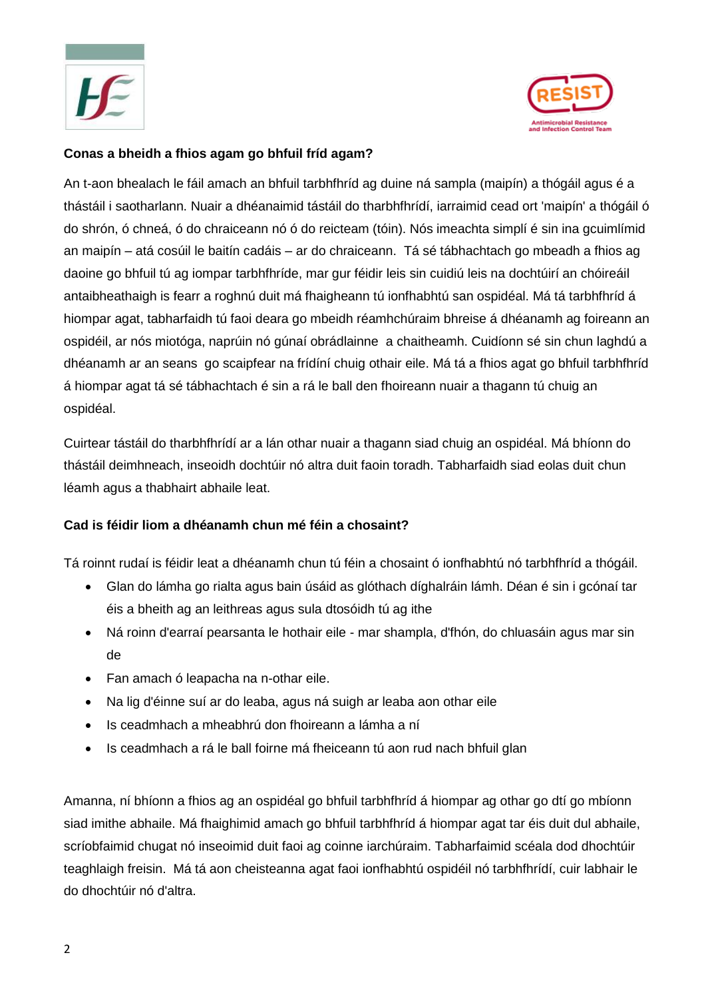



#### **Conas a bheidh a fhios agam go bhfuil fríd agam?**

An t-aon bhealach le fáil amach an bhfuil tarbhfhríd ag duine ná sampla (maipín) a thógáil agus é a thástáil i saotharlann. Nuair a dhéanaimid tástáil do tharbhfhrídí, iarraimid cead ort 'maipín' a thógáil ó do shrón, ó chneá, ó do chraiceann nó ó do reicteam (tóin). Nós imeachta simplí é sin ina gcuimlímid an maipín – atá cosúil le baitín cadáis – ar do chraiceann. Tá sé tábhachtach go mbeadh a fhios ag daoine go bhfuil tú ag iompar tarbhfhríde, mar gur féidir leis sin cuidiú leis na dochtúirí an chóireáil antaibheathaigh is fearr a roghnú duit má fhaigheann tú ionfhabhtú san ospidéal. Má tá tarbhfhríd á hiompar agat, tabharfaidh tú faoi deara go mbeidh réamhchúraim bhreise á dhéanamh ag foireann an ospidéil, ar nós miotóga, naprúin nó gúnaí obrádlainne a chaitheamh. Cuidíonn sé sin chun laghdú a dhéanamh ar an seans go scaipfear na frídíní chuig othair eile. Má tá a fhios agat go bhfuil tarbhfhríd á hiompar agat tá sé tábhachtach é sin a rá le ball den fhoireann nuair a thagann tú chuig an ospidéal.

Cuirtear tástáil do tharbhfhrídí ar a lán othar nuair a thagann siad chuig an ospidéal. Má bhíonn do thástáil deimhneach, inseoidh dochtúir nó altra duit faoin toradh. Tabharfaidh siad eolas duit chun léamh agus a thabhairt abhaile leat.

#### **Cad is féidir liom a dhéanamh chun mé féin a chosaint?**

Tá roinnt rudaí is féidir leat a dhéanamh chun tú féin a chosaint ó ionfhabhtú nó tarbhfhríd a thógáil.

- Glan do lámha go rialta agus bain úsáid as glóthach díghalráin lámh. Déan é sin i gcónaí tar éis a bheith ag an leithreas agus sula dtosóidh tú ag ithe
- Ná roinn d'earraí pearsanta le hothair eile mar shampla, d'fhón, do chluasáin agus mar sin de
- Fan amach ó leapacha na n-othar eile.
- Na lig d'éinne suí ar do leaba, agus ná suigh ar leaba aon othar eile
- Is ceadmhach a mheabhrú don fhoireann a lámha a ní
- Is ceadmhach a rá le ball foirne má fheiceann tú aon rud nach bhfuil glan

Amanna, ní bhíonn a fhios ag an ospidéal go bhfuil tarbhfhríd á hiompar ag othar go dtí go mbíonn siad imithe abhaile. Má fhaighimid amach go bhfuil tarbhfhríd á hiompar agat tar éis duit dul abhaile, scríobfaimid chugat nó inseoimid duit faoi ag coinne iarchúraim. Tabharfaimid scéala dod dhochtúir teaghlaigh freisin. Má tá aon cheisteanna agat faoi ionfhabhtú ospidéil nó tarbhfhrídí, cuir labhair le do dhochtúir nó d'altra.